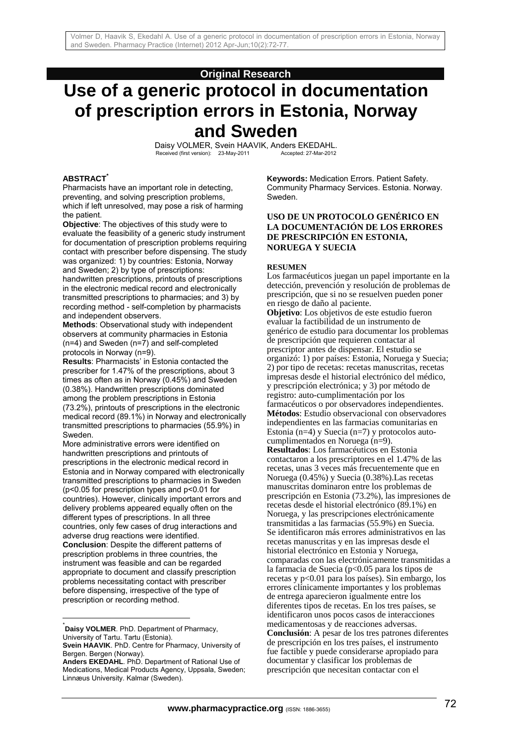# **Original Research**

# **Use of a generic protocol in documentation of prescription errors in Estonia, Norway and Sweden**

Daisy VOLMER, Svein HAAVIK, Anders EKEDAHL.<br>Received (first version): 23-May-2011 Accepted: 27-Mar-2012 Received (first version): 23-May-2011

#### **ABSTRACT\***

Pharmacists have an important role in detecting, preventing, and solving prescription problems, which if left unresolved, may pose a risk of harming the patient.

**Objective**: The objectives of this study were to evaluate the feasibility of a generic study instrument for documentation of prescription problems requiring contact with prescriber before dispensing. The study was organized: 1) by countries: Estonia, Norway and Sweden; 2) by type of prescriptions:

handwritten prescriptions, printouts of prescriptions in the electronic medical record and electronically transmitted prescriptions to pharmacies; and 3) by recording method - self-completion by pharmacists and independent observers.

**Methods**: Observational study with independent observers at community pharmacies in Estonia  $(n=4)$  and Sweden  $(n=7)$  and self-completed protocols in Norway (n=9).

**Results**: Pharmacists' in Estonia contacted the prescriber for 1.47% of the prescriptions, about 3 times as often as in Norway (0.45%) and Sweden (0.38%). Handwritten prescriptions dominated among the problem prescriptions in Estonia (73.2%), printouts of prescriptions in the electronic medical record (89.1%) in Norway and electronically transmitted prescriptions to pharmacies (55.9%) in Sweden.

More administrative errors were identified on handwritten prescriptions and printouts of prescriptions in the electronic medical record in Estonia and in Norway compared with electronically transmitted prescriptions to pharmacies in Sweden (p<0.05 for prescription types and p<0.01 for countries). However, clinically important errors and delivery problems appeared equally often on the different types of prescriptions. In all three countries, only few cases of drug interactions and adverse drug reactions were identified. **Conclusion**: Despite the different patterns of prescription problems in three countries, the instrument was feasible and can be regarded appropriate to document and classify prescription problems necessitating contact with prescriber before dispensing, irrespective of the type of prescription or recording method.

\* **Daisy VOLMER**. PhD. Department of Pharmacy, University of Tartu. Tartu (Estonia).

l

**Keywords:** Medication Errors. Patient Safety. Community Pharmacy Services. Estonia. Norway. Sweden.

## **USO DE UN PROTOCOLO GENÉRICO EN LA DOCUMENTACIÓN DE LOS ERRORES DE PRESCRIPCIÓN EN ESTONIA, NORUEGA Y SUECIA**

#### **RESUMEN**

Los farmacéuticos juegan un papel importante en la detección, prevención y resolución de problemas de prescripción, que si no se resuelven pueden poner en riesgo de daño al paciente.

**Objetivo**: Los objetivos de este estudio fueron evaluar la factibilidad de un instrumento de genérico de estudio para documentar los problemas de prescripción que requieren contactar al prescriptor antes de dispensar. El estudio se organizó: 1) por países: Estonia, Noruega y Suecia; 2) por tipo de recetas: recetas manuscritas, recetas impresas desde el historial electrónico del médico, y prescripción electrónica; y 3) por método de registro: auto-cumplimentación por los farmacéuticos o por observadores independientes. **Métodos**: Estudio observacional con observadores independientes en las farmacias comunitarias en Estonia (n=4) y Suecia (n=7) y protocolos autocumplimentados en Noruega (n=9). **Resultados**: Los farmacéuticos en Estonia contactaron a los prescriptores en el 1.47% de las recetas, unas 3 veces más frecuentemente que en Noruega (0.45%) y Suecia (0.38%).Las recetas manuscritas dominaron entre los problemas de prescripción en Estonia (73.2%), las impresiones de recetas desde el historial electrónico (89.1%) en Noruega, y las prescripciones electrónicamente transmitidas a las farmacias (55.9%) en Suecia. Se identificaron más errores administrativos en las recetas manuscritas y en las impresas desde el historial electrónico en Estonia y Noruega, comparadas con las electrónicamente transmitidas a la farmacia de Suecia (p<0.05 para los tipos de recetas y p<0.01 para los países). Sin embargo, los errores clínicamente importantes y los problemas de entrega aparecieron igualmente entre los diferentes tipos de recetas. En los tres países, se identificaron unos pocos casos de interacciones medicamentosas y de reacciones adversas. **Conclusión**: A pesar de los tres patrones diferentes de prescripción en los tres países, el instrumento fue factible y puede considerarse apropiado para documentar y clasificar los problemas de prescripción que necesitan contactar con el

**Svein HAAVIK**. PhD. Centre for Pharmacy, University of Bergen. Bergen (Norway).

**Anders EKEDAHL**. PhD. Department of Rational Use of Medications, Medical Products Agency, Uppsala, Sweden; Linnæus University. Kalmar (Sweden).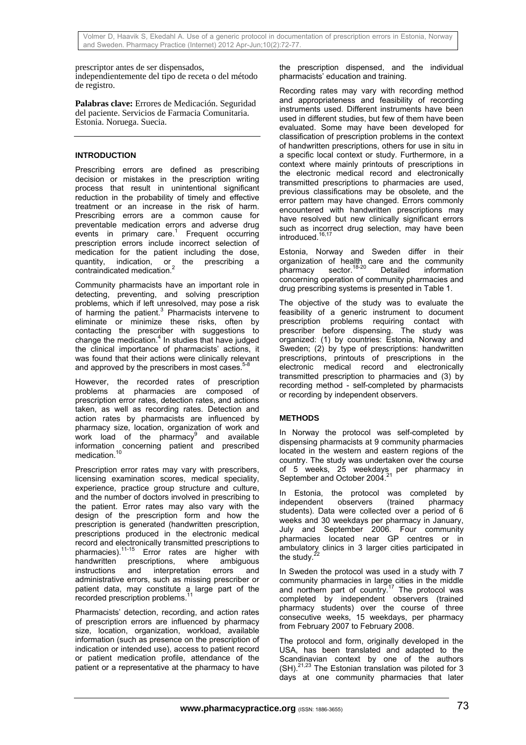prescriptor antes de ser dispensados,

independientemente del tipo de receta o del método de registro.

**Palabras clave:** Errores de Medicación. Seguridad del paciente. Servicios de Farmacia Comunitaria. Estonia. Noruega. Suecia.

# **INTRODUCTION**

Prescribing errors are defined as prescribing decision or mistakes in the prescription writing process that result in unintentional significant reduction in the probability of timely and effective treatment or an increase in the risk of harm. Prescribing errors are a common cause for preventable medication errors and adverse drug events in primary care.<sup>1</sup> Frequent occurring prescription errors include incorrect selection of medication for the patient including the dose, quantity, indication, or the prescribing a contraindicated medication.<sup>2</sup>

Community pharmacists have an important role in detecting, preventing, and solving prescription problems, which if left unresolved, may pose a risk of harming the patient.<sup>3</sup> Pharmacists intervene to eliminate or minimize these risks, often by contacting the prescriber with suggestions to change the medication. $4$  In studies that have judged the clinical importance of pharmacists' actions, it was found that their actions were clinically relevant and approved by the prescribers in most cases.<sup>5</sup>

However, the recorded rates of prescription problems at pharmacies are composed of prescription error rates, detection rates, and actions taken, as well as recording rates. Detection and action rates by pharmacists are influenced by pharmacy size, location, organization of work and work load of the pharmacy<sup>9</sup> and available information concerning patient and prescribed medication.<sup>10</sup>

Prescription error rates may vary with prescribers, licensing examination scores, medical speciality, experience, practice group structure and culture, and the number of doctors involved in prescribing to the patient. Error rates may also vary with the design of the prescription form and how the prescription is generated (handwritten prescription, prescriptions produced in the electronic medical record and electronically transmitted prescriptions to pharmacies).<sup>11-15</sup> Error rates are higher with handwritten prescriptions, where ambiguous instructions and interpretation errors and administrative errors, such as missing prescriber or patient data, may constitute a large part of the recorded prescription problems.

Pharmacists' detection, recording, and action rates of prescription errors are influenced by pharmacy size, location, organization, workload, available information (such as presence on the prescription of indication or intended use), access to patient record or patient medication profile, attendance of the patient or a representative at the pharmacy to have

the prescription dispensed, and the individual pharmacists' education and training.

Recording rates may vary with recording method and appropriateness and feasibility of recording instruments used. Different instruments have been used in different studies, but few of them have been evaluated. Some may have been developed for classification of prescription problems in the context of handwritten prescriptions, others for use in situ in a specific local context or study. Furthermore, in a context where mainly printouts of prescriptions in the electronic medical record and electronically transmitted prescriptions to pharmacies are used, previous classifications may be obsolete, and the error pattern may have changed. Errors commonly encountered with handwritten prescriptions may have resolved but new clinically significant errors such as incorrect drug selection, may have been introduced.<sup>16,17</sup>

Estonia, Norway and Sweden differ in their organization of health care and the community pharmacy sector.18-20 Detailed information concerning operation of community pharmacies and drug prescribing systems is presented in Table 1.

The objective of the study was to evaluate the feasibility of a generic instrument to document prescription problems requiring contact with prescriber before dispensing. The study was organized: (1) by countries: Estonia, Norway and Sweden; (2) by type of prescriptions: handwritten prescriptions, printouts of prescriptions in the electronic medical record and electronically transmitted prescription to pharmacies and (3) by recording method - self-completed by pharmacists or recording by independent observers.

# **METHODS**

In Norway the protocol was self-completed by dispensing pharmacists at 9 community pharmacies located in the western and eastern regions of the country. The study was undertaken over the course of 5 weeks, 25 weekdays per pharmacy in September and October 2004.

In Estonia, the protocol was completed by independent observers (trained pharmacy students). Data were collected over a period of 6 weeks and 30 weekdays per pharmacy in January, July and September 2006. Four community pharmacies located near GP centres or in ambulatory clinics in 3 larger cities participated in the study. $\frac{2}{3}$ 

In Sweden the protocol was used in a study with 7 community pharmacies in large cities in the middle and northern part of country.<sup>17</sup> The protocol was completed by independent observers (trained pharmacy students) over the course of three consecutive weeks, 15 weekdays, per pharmacy from February 2007 to February 2008.

The protocol and form, originally developed in the USA, has been translated and adapted to the Scandinavian context by one of the authors  $(SH).^{21,23}$  The Estonian translation was piloted for 3 days at one community pharmacies that later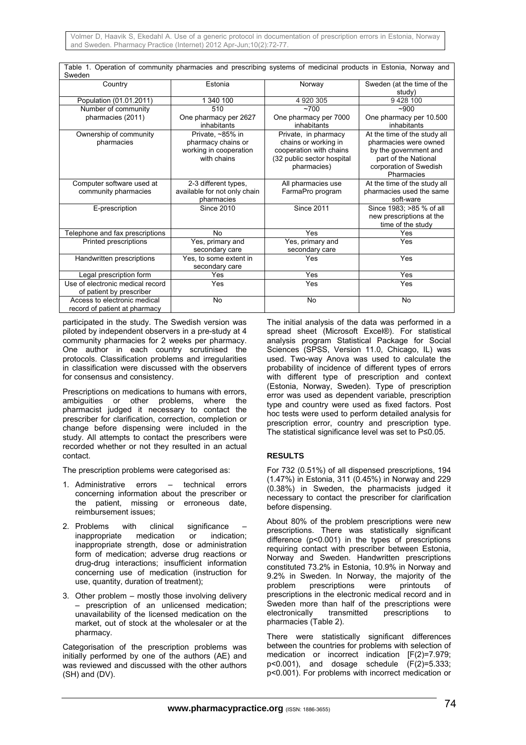| Table 1. Operation of community pharmacies and prescribing systems of medicinal products in Estonia, Norway and |                              |                            |                              |  |  |  |  |  |  |
|-----------------------------------------------------------------------------------------------------------------|------------------------------|----------------------------|------------------------------|--|--|--|--|--|--|
| Sweden                                                                                                          |                              |                            |                              |  |  |  |  |  |  |
| Country                                                                                                         | Estonia                      | Norway                     | Sweden (at the time of the   |  |  |  |  |  |  |
|                                                                                                                 |                              |                            | study)                       |  |  |  |  |  |  |
| Population (01.01.2011)                                                                                         | 1 340 100                    | 4 920 305                  | 9428100                      |  |  |  |  |  |  |
| Number of community                                                                                             | 510                          | ~100                       | $-900$                       |  |  |  |  |  |  |
| pharmacies (2011)                                                                                               | One pharmacy per 2627        | One pharmacy per 7000      | One pharmacy per 10.500      |  |  |  |  |  |  |
|                                                                                                                 | inhabitants                  | inhabitants                | inhabitants                  |  |  |  |  |  |  |
| Ownership of community                                                                                          | Private. ~85% in             | Private, in pharmacy       | At the time of the study all |  |  |  |  |  |  |
| pharmacies                                                                                                      | pharmacy chains or           | chains or working in       | pharmacies were owned        |  |  |  |  |  |  |
|                                                                                                                 | working in cooperation       | cooperation with chains    | by the government and        |  |  |  |  |  |  |
|                                                                                                                 | with chains                  | (32 public sector hospital | part of the National         |  |  |  |  |  |  |
|                                                                                                                 |                              | pharmacies)                | corporation of Swedish       |  |  |  |  |  |  |
|                                                                                                                 |                              |                            | Pharmacies                   |  |  |  |  |  |  |
| Computer software used at                                                                                       | 2-3 different types,         | All pharmacies use         | At the time of the study all |  |  |  |  |  |  |
| community pharmacies                                                                                            | available for not only chain | FarmaPro program           | pharmacies used the same     |  |  |  |  |  |  |
|                                                                                                                 | pharmacies                   |                            | soft-ware                    |  |  |  |  |  |  |
| E-prescription                                                                                                  | <b>Since 2010</b>            | <b>Since 2011</b>          | Since 1983; >85 % of all     |  |  |  |  |  |  |
|                                                                                                                 |                              |                            | new prescriptions at the     |  |  |  |  |  |  |
|                                                                                                                 |                              |                            | time of the study            |  |  |  |  |  |  |
| Telephone and fax prescriptions                                                                                 | <b>No</b>                    | Yes                        | Yes                          |  |  |  |  |  |  |
| Printed prescriptions                                                                                           | Yes, primary and             | Yes, primary and           | Yes                          |  |  |  |  |  |  |
|                                                                                                                 | secondary care               | secondary care             |                              |  |  |  |  |  |  |
| Handwritten prescriptions                                                                                       | Yes, to some extent in       | Yes                        | Yes                          |  |  |  |  |  |  |
|                                                                                                                 | secondary care               |                            |                              |  |  |  |  |  |  |
| Legal prescription form                                                                                         | Yes                          | Yes                        | Yes                          |  |  |  |  |  |  |
| Use of electronic medical record                                                                                | Yes                          | Yes                        | Yes                          |  |  |  |  |  |  |
| of patient by prescriber                                                                                        |                              |                            |                              |  |  |  |  |  |  |
| Access to electronic medical                                                                                    | No                           | <b>No</b>                  | No                           |  |  |  |  |  |  |
| record of patient at pharmacy                                                                                   |                              |                            |                              |  |  |  |  |  |  |

participated in the study. The Swedish version was piloted by independent observers in a pre-study at 4 community pharmacies for 2 weeks per pharmacy. One author in each country scrutinised the protocols. Classification problems and irregularities in classification were discussed with the observers for consensus and consistency.

Prescriptions on medications to humans with errors, ambiguities or other problems, where the pharmacist judged it necessary to contact the prescriber for clarification, correction, completion or change before dispensing were included in the study. All attempts to contact the prescribers were recorded whether or not they resulted in an actual contact.

The prescription problems were categorised as:

- 1. Administrative errors technical errors concerning information about the prescriber or the patient, missing or erroneous date, reimbursement issues;
- 2. Problems with clinical significance inappropriate medication or indication; inappropriate strength, dose or administration form of medication; adverse drug reactions or drug-drug interactions; insufficient information concerning use of medication (instruction for use, quantity, duration of treatment);
- 3. Other problem mostly those involving delivery – prescription of an unlicensed medication; unavailability of the licensed medication on the market, out of stock at the wholesaler or at the pharmacy.

Categorisation of the prescription problems was initially performed by one of the authors (AE) and was reviewed and discussed with the other authors (SH) and (DV).

The initial analysis of the data was performed in a spread sheet (Microsoft Excel®). For statistical analysis program Statistical Package for Social Sciences (SPSS, Version 11.0, Chicago, IL) was used. Two-way Anova was used to calculate the probability of incidence of different types of errors with different type of prescription and context (Estonia, Norway, Sweden). Type of prescription error was used as dependent variable, prescription type and country were used as fixed factors. Post hoc tests were used to perform detailed analysis for prescription error, country and prescription type. The statistical significance level was set to P≤0.05.

# **RESULTS**

For 732 (0.51%) of all dispensed prescriptions, 194 (1.47%) in Estonia, 311 (0.45%) in Norway and 229 (0.38%) in Sweden, the pharmacists judged it necessary to contact the prescriber for clarification before dispensing.

About 80% of the problem prescriptions were new prescriptions. There was statistically significant difference (p<0.001) in the types of prescriptions requiring contact with prescriber between Estonia, Norway and Sweden. Handwritten prescriptions constituted 73.2% in Estonia, 10.9% in Norway and 9.2% in Sweden. In Norway, the majority of the problem prescriptions were printouts of prescriptions in the electronic medical record and in Sweden more than half of the prescriptions were electronically transmitted prescriptions to pharmacies (Table 2).

There were statistically significant differences between the countries for problems with selection of medication or incorrect indication [F(2)=7.979;  $p<0.001$ ), and dosage schedule  $(F(2)=5.333)$ ; p<0.001). For problems with incorrect medication or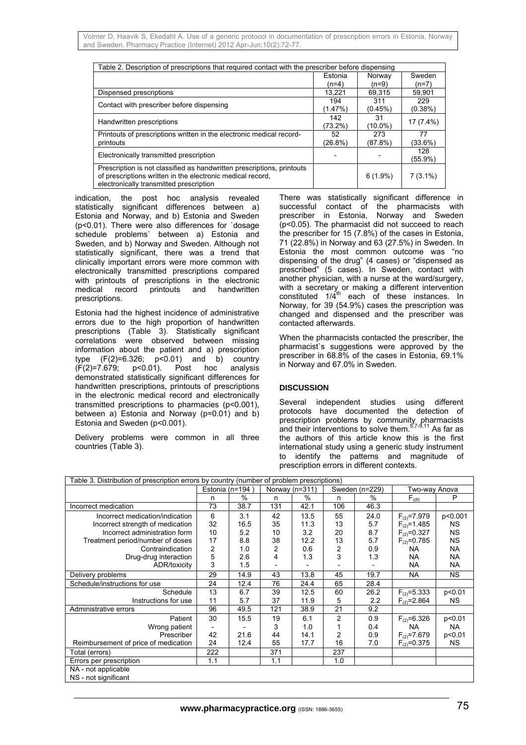| Table 2. Description of prescriptions that required contact with the prescriber before dispensing |            |            |            |  |  |  |  |
|---------------------------------------------------------------------------------------------------|------------|------------|------------|--|--|--|--|
|                                                                                                   | Estonia    | Norway     | Sweden     |  |  |  |  |
|                                                                                                   | $(n=4)$    | $(n=9)$    | (n=7)      |  |  |  |  |
| Dispensed prescriptions                                                                           | 13,221     | 69,315     | 59,901     |  |  |  |  |
| Contact with prescriber before dispensing                                                         | 194        | 311        | 229        |  |  |  |  |
|                                                                                                   | (1.47%)    | (0.45%)    | $(0.38\%)$ |  |  |  |  |
| Handwritten prescriptions                                                                         | 142        | 31         | 17 (7.4%)  |  |  |  |  |
|                                                                                                   | (73.2%)    | $(10.0\%)$ |            |  |  |  |  |
| Printouts of prescriptions written in the electronic medical record-                              | 52         | 273        | 77         |  |  |  |  |
| printouts                                                                                         | $(26.8\%)$ | (87.8%)    | (33.6%)    |  |  |  |  |
|                                                                                                   |            |            | 128        |  |  |  |  |
| Electronically transmitted prescription                                                           |            |            | (55.9%)    |  |  |  |  |
| Prescription is not classified as handwritten prescriptions, printouts                            |            |            |            |  |  |  |  |
| of prescriptions written in the electronic medical record,                                        |            | $6(1.9\%)$ | $7(3.1\%)$ |  |  |  |  |
| electronically transmitted prescription                                                           |            |            |            |  |  |  |  |

indication, the post hoc analysis revealed statistically significant differences between a) Estonia and Norway, and b) Estonia and Sweden (p<0.01). There were also differences for `dosage schedule problems` between a) Estonia and Sweden, and b) Norway and Sweden. Although not statistically significant, there was a trend that clinically important errors were more common with electronically transmitted prescriptions compared with printouts of prescriptions in the electronic<br>medical record printouts and handwritten medical record printouts and handwritten prescriptions.

Estonia had the highest incidence of administrative errors due to the high proportion of handwritten prescriptions (Table 3). Statistically significant correlations were observed between missing information about the patient and a) prescription type  $(F(2)=6.326; p<0.01)$  and b) country<br> $(F(2)=7.679; p<0.01)$ . Post hoc analysis (F(2)=7.679; p<0.01). Post hoc analysis demonstrated statistically significant differences for handwritten prescriptions, printouts of prescriptions in the electronic medical record and electronically transmitted prescriptions to pharmacies (p<0.001), between a) Estonia and Norway (p=0.01) and b) Estonia and Sweden (p<0.001).

Delivery problems were common in all three countries (Table 3).

There was statistically significant difference in successful contact of the pharmacists with prescriber in Estonia, Norway and Sweden (p<0.05). The pharmacist did not succeed to reach the prescriber for 15 (7.8%) of the cases in Estonia, 71 (22.8%) in Norway and 63 (27.5%) in Sweden. In Estonia the most common outcome was "no dispensing of the drug" (4 cases) or "dispensed as prescribed" (5 cases). In Sweden, contact with another physician, with a nurse at the ward/surgery, with a secretary or making a different intervention constituted  $1/\overline{4}^{th}$  each of these instances. In Norway, for 39 (54.9%) cases the prescription was changed and dispensed and the prescriber was contacted afterwards.

When the pharmacists contacted the prescriber, the pharmacist`s suggestions were approved by the prescriber in 68.8% of the cases in Estonia, 69.1% in Norway and 67.0% in Sweden.

## **DISCUSSION**

Several independent studies using different protocols have documented the detection of prescription problems by community pharmacists and their interventions to solve them.<sup>5,7-9,11</sup> As far as the authors of this article know this is the first international study using a generic study instrument to identify the patterns and magnitude of prescription errors in different contexts.

| Table 3. Distribution of prescription errors by country (number of problem prescriptions) |                 |      |                  |      |                |      |                   |           |  |
|-------------------------------------------------------------------------------------------|-----------------|------|------------------|------|----------------|------|-------------------|-----------|--|
|                                                                                           | Estonia (n=194) |      | Norway $(n=311)$ |      | Sweden (n=229) |      | Two-way Anova     |           |  |
|                                                                                           | n               | $\%$ | n                | %    | n              | %    | $F_{(df)}$        | P         |  |
| Incorrect medication                                                                      | 73              | 38.7 | 131              | 42.1 | 106            | 46.3 |                   |           |  |
| Incorrect medication/indication                                                           | 6               | 3.1  | 42               | 13.5 | 55             | 24.0 | $F_{(2)} = 7.979$ | p<0.001   |  |
| Incorrect strength of medication                                                          | 32              | 16.5 | 35               | 11.3 | 13             | 5.7  | $F_{(2)}=1.485$   | NS.       |  |
| Incorrect administration form                                                             | 10              | 5.2  | 10               | 3.2  | 20             | 8.7  | $F_{(2)} = 0.327$ | <b>NS</b> |  |
| Treatment period/number of doses                                                          | 17              | 8.8  | 38               | 12.2 | 13             | 5.7  | $F_{(2)} = 0.785$ | <b>NS</b> |  |
| Contraindication                                                                          | 2               | 1.0  | 2                | 0.6  | 2              | 0.9  | <b>NA</b>         | <b>NA</b> |  |
| Drug-drug interaction                                                                     | 5               | 2.6  | 4                | 1.3  | 3              | 1.3  | <b>NA</b>         | NA.       |  |
| ADR/toxicity                                                                              | 3               | 1.5  |                  |      |                |      | <b>NA</b>         | NA        |  |
| Delivery problems                                                                         | 29              | 14.9 | 43               | 13.8 | 45             | 19.7 | <b>NA</b>         | NS.       |  |
| Schedule/instructions for use                                                             | 24              | 12.4 | 76               | 24.4 | 65             | 28.4 |                   |           |  |
| Schedule                                                                                  | 13              | 6.7  | 39               | 12.5 | 60             | 26.2 | $F_{(2)} = 5.333$ | p<0.01    |  |
| Instructions for use                                                                      | 11              | 5.7  | 37               | 11.9 | 5              | 2.2  | $F_{(2)} = 2.864$ | NS.       |  |
| Administrative errors                                                                     | 96              | 49.5 | 121              | 38.9 | 21             | 9.2  |                   |           |  |
| Patient                                                                                   | 30              | 15.5 | 19               | 6.1  | 2              | 0.9  | $F_{(2)} = 6.326$ | p<0.01    |  |
| Wrong patient                                                                             |                 |      | 3                | 1.0  |                | 0.4  | <b>NA</b>         | NA.       |  |
| Prescriber                                                                                | 42              | 21.6 | 44               | 14.1 | 2              | 0.9  | $F_{(2)} = 7.679$ | p<0.01    |  |
| Reimbursement of price of medication                                                      | 24              | 12.4 | 55               | 17.7 | 16             | 7.0  | $F_{(2)} = 0.375$ | NS.       |  |
| Total (errors)                                                                            | 222             |      | 371              |      | 237            |      |                   |           |  |
| Errors per prescription                                                                   | 1.1             |      | 1.1              |      | 1.0            |      |                   |           |  |
| NA - not applicable                                                                       |                 |      |                  |      |                |      |                   |           |  |
| NS - not significant                                                                      |                 |      |                  |      |                |      |                   |           |  |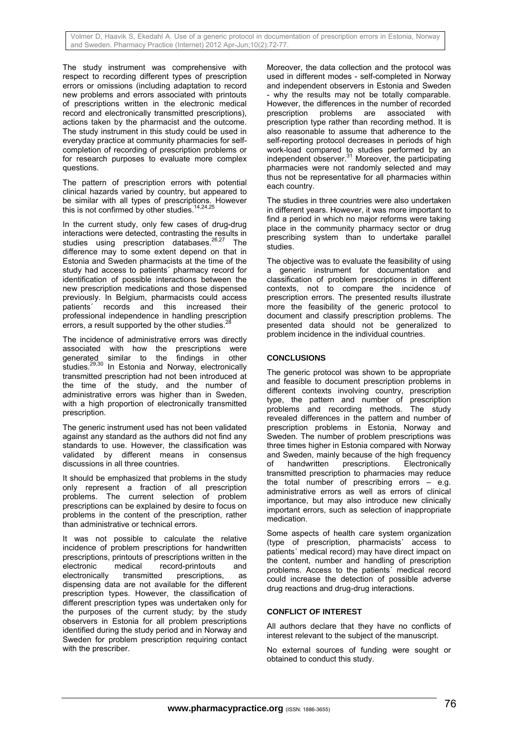The study instrument was comprehensive with respect to recording different types of prescription errors or omissions (including adaptation to record new problems and errors associated with printouts of prescriptions written in the electronic medical record and electronically transmitted prescriptions), actions taken by the pharmacist and the outcome. The study instrument in this study could be used in everyday practice at community pharmacies for selfcompletion of recording of prescription problems or for research purposes to evaluate more complex questions.

The pattern of prescription errors with potential clinical hazards varied by country, but appeared to be similar with all types of prescriptions. However this is not confirmed by other studies.<sup>14,24,1</sup>

In the current study, only few cases of drug-drug interactions were detected, contrasting the results in studies using prescription databases.<sup>26,27</sup> The difference may to some extent depend on that in Estonia and Sweden pharmacists at the time of the study had access to patients´ pharmacy record for identification of possible interactions between the new prescription medications and those dispensed previously. In Belgium, pharmacists could access patients´ records and this increased their professional independence in handling prescription errors, a result supported by the other studies.

The incidence of administrative errors was directly associated with how the prescriptions were generated similar to the findings in other studies.<sup>29,30</sup> In Estonia and Norway, electronically transmitted prescription had not been introduced at the time of the study, and the number of administrative errors was higher than in Sweden, with a high proportion of electronically transmitted prescription.

The generic instrument used has not been validated against any standard as the authors did not find any standards to use. However, the classification was validated by different means in consensus discussions in all three countries.

It should be emphasized that problems in the study only represent a fraction of all prescription problems. The current selection of problem prescriptions can be explained by desire to focus on problems in the content of the prescription, rather than administrative or technical errors.

It was not possible to calculate the relative incidence of problem prescriptions for handwritten prescriptions, printouts of prescriptions written in the electronic medical record-printouts and electronic medical record-printouts and electronically transmitted prescriptions, as dispensing data are not available for the different prescription types. However, the classification of different prescription types was undertaken only for the purposes of the current study; by the study observers in Estonia for all problem prescriptions identified during the study period and in Norway and Sweden for problem prescription requiring contact with the prescriber.

Moreover, the data collection and the protocol was used in different modes - self-completed in Norway and independent observers in Estonia and Sweden - why the results may not be totally comparable. However, the differences in the number of recorded prescription problems are associated with prescription type rather than recording method. It is also reasonable to assume that adherence to the self-reporting protocol decreases in periods of high work-load compared to studies performed by an independent observer.<sup>31</sup> Moreover, the participating pharmacies were not randomly selected and may thus not be representative for all pharmacies within each country.

The studies in three countries were also undertaken in different years. However, it was more important to find a period in which no major reforms were taking place in the community pharmacy sector or drug prescribing system than to undertake parallel studies.

The objective was to evaluate the feasibility of using a generic instrument for documentation and classification of problem prescriptions in different contexts, not to compare the incidence of prescription errors. The presented results illustrate more the feasibility of the generic protocol to document and classify prescription problems. The presented data should not be generalized to problem incidence in the individual countries.

# **CONCLUSIONS**

The generic protocol was shown to be appropriate and feasible to document prescription problems in different contexts involving country, prescription type, the pattern and number of prescription problems and recording methods. The study revealed differences in the pattern and number of prescription problems in Estonia, Norway and Sweden. The number of problem prescriptions was three times higher in Estonia compared with Norway and Sweden, mainly because of the high frequency of handwritten prescriptions. Electronically transmitted prescription to pharmacies may reduce the total number of prescribing errors – e.g. administrative errors as well as errors of clinical importance, but may also introduce new clinically important errors, such as selection of inappropriate medication.

Some aspects of health care system organization (type of prescription, pharmacists´ access to patients´ medical record) may have direct impact on the content, number and handling of prescription problems. Access to the patients´ medical record could increase the detection of possible adverse drug reactions and drug-drug interactions.

## **CONFLICT OF INTEREST**

All authors declare that they have no conflicts of interest relevant to the subject of the manuscript.

No external sources of funding were sought or obtained to conduct this study.